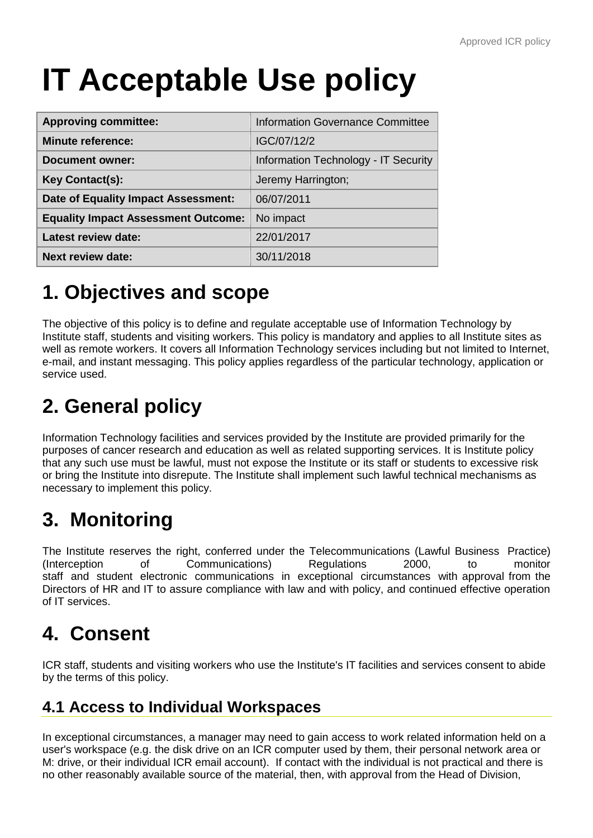# **IT Acceptable Use policy**

| <b>Approving committee:</b>                | <b>Information Governance Committee</b> |
|--------------------------------------------|-----------------------------------------|
| <b>Minute reference:</b>                   | IGC/07/12/2                             |
| <b>Document owner:</b>                     | Information Technology - IT Security    |
| Key Contact(s):                            | Jeremy Harrington;                      |
| Date of Equality Impact Assessment:        | 06/07/2011                              |
| <b>Equality Impact Assessment Outcome:</b> | No impact                               |
| <b>Latest review date:</b>                 | 22/01/2017                              |
| <b>Next review date:</b>                   | 30/11/2018                              |

# **1. Objectives and scope**

The objective of this policy is to define and regulate acceptable use of Information Technology by Institute staff, students and visiting workers. This policy is mandatory and applies to all Institute sites as well as remote workers. It covers all Information Technology services including but not limited to Internet, e-mail, and instant messaging. This policy applies regardless of the particular technology, application or service used.

# **2. General policy**

Information Technology facilities and services provided by the Institute are provided primarily for the purposes of cancer research and education as well as related supporting services. It is Institute policy that any such use must be lawful, must not expose the Institute or its staff or students to excessive risk or bring the Institute into disrepute. The Institute shall implement such lawful technical mechanisms as necessary to implement this policy.

# **3. Monitoring**

The Institute reserves the right, conferred under the Telecommunications (Lawful Business Practice) (Interception of Communications) Regulations 2000, to monitor staff and student electronic communications in exceptional circumstances with approval from the Directors of HR and IT to assure compliance with law and with policy, and continued effective operation of IT services.

# **4. Consent**

ICR staff, students and visiting workers who use the Institute's IT facilities and services consent to abide by the terms of this policy.

#### **4.1 Access to Individual Workspaces**

In exceptional circumstances, a manager may need to gain access to work related information held on a user's workspace (e.g. the disk drive on an ICR computer used by them, their personal network area or M: drive, or their individual ICR email account). If contact with the individual is not practical and there is no other reasonably available source of the material, then, with approval from the Head of Division,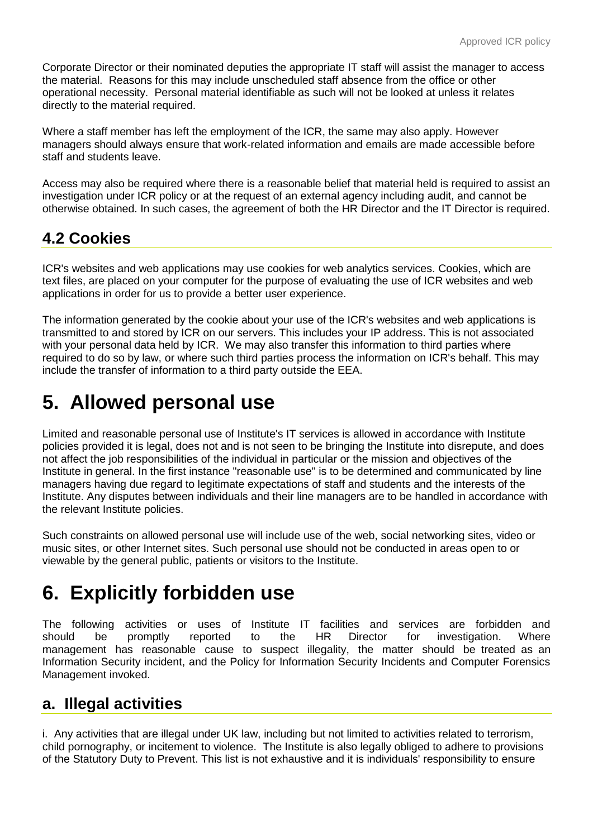Corporate Director or their nominated deputies the appropriate IT staff will assist the manager to access the material. Reasons for this may include unscheduled staff absence from the office or other operational necessity. Personal material identifiable as such will not be looked at unless it relates directly to the material required.

Where a staff member has left the employment of the ICR, the same may also apply. However managers should always ensure that work-related information and emails are made accessible before staff and students leave.

Access may also be required where there is a reasonable belief that material held is required to assist an investigation under ICR policy or at the request of an external agency including audit, and cannot be otherwise obtained. In such cases, the agreement of both the HR Director and the IT Director is required.

#### **4.2 Cookies**

ICR's websites and web applications may use cookies for web analytics services. Cookies, which are text files, are placed on your computer for the purpose of evaluating the use of ICR websites and web applications in order for us to provide a better user experience.

The information generated by the cookie about your use of the ICR's websites and web applications is transmitted to and stored by ICR on our servers. This includes your IP address. This is not associated with your personal data held by ICR. We may also transfer this information to third parties where required to do so by law, or where such third parties process the information on ICR's behalf. This may include the transfer of information to a third party outside the EEA.

### **5. Allowed personal use**

Limited and reasonable personal use of Institute's IT services is allowed in accordance with Institute policies provided it is legal, does not and is not seen to be bringing the Institute into disrepute, and does not affect the job responsibilities of the individual in particular or the mission and objectives of the Institute in general. In the first instance "reasonable use" is to be determined and communicated by line managers having due regard to legitimate expectations of staff and students and the interests of the Institute. Any disputes between individuals and their line managers are to be handled in accordance with the relevant Institute policies.

Such constraints on allowed personal use will include use of the web, social networking sites, video or music sites, or other Internet sites. Such personal use should not be conducted in areas open to or viewable by the general public, patients or visitors to the Institute.

# **6. Explicitly forbidden use**

The following activities or uses of Institute IT facilities and services are forbidden and should be promptly reported to the HR Director for investigation. Where management has reasonable cause to suspect illegality, the matter should be treated as an Information Security incident, and the Policy for Information Security Incidents and Computer Forensics Management invoked.

#### **a. Illegal activities**

i. Any activities that are illegal under UK law, including but not limited to activities related to terrorism, child pornography, or incitement to violence. The Institute is also legally obliged to adhere to provisions of the Statutory Duty to Prevent. This list is not exhaustive and it is individuals' responsibility to ensure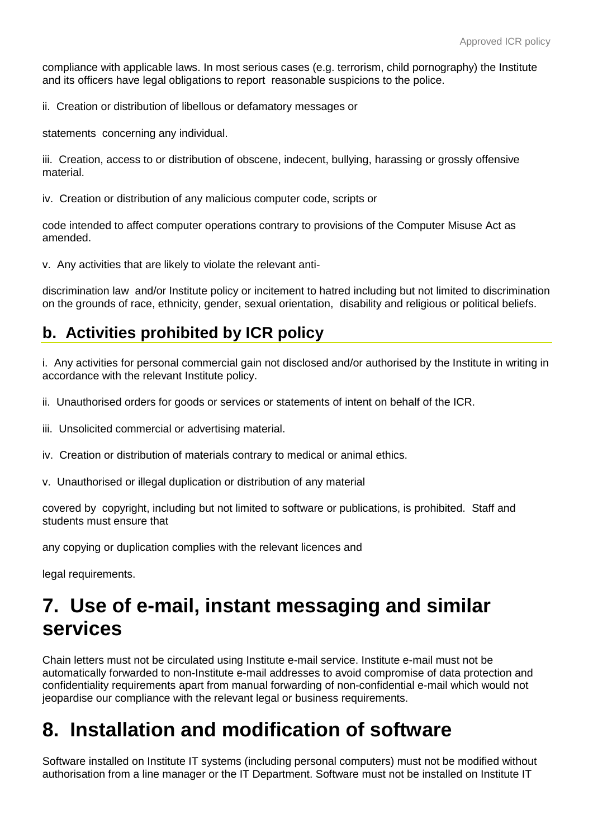compliance with applicable laws. In most serious cases (e.g. terrorism, child pornography) the Institute and its officers have legal obligations to report reasonable suspicions to the police.

ii. Creation or distribution of libellous or defamatory messages or

statements concerning any individual.

iii. Creation, access to or distribution of obscene, indecent, bullying, harassing or grossly offensive material.

iv. Creation or distribution of any malicious computer code, scripts or

code intended to affect computer operations contrary to provisions of the Computer Misuse Act as amended.

v. Any activities that are likely to violate the relevant anti-

discrimination law and/or Institute policy or incitement to hatred including but not limited to discrimination on the grounds of race, ethnicity, gender, sexual orientation, disability and religious or political beliefs.

#### **b. Activities prohibited by ICR policy**

i. Any activities for personal commercial gain not disclosed and/or authorised by the Institute in writing in accordance with the relevant Institute policy.

ii. Unauthorised orders for goods or services or statements of intent on behalf of the ICR.

- iii. Unsolicited commercial or advertising material.
- iv. Creation or distribution of materials contrary to medical or animal ethics.
- v. Unauthorised or illegal duplication or distribution of any material

covered by copyright, including but not limited to software or publications, is prohibited. Staff and students must ensure that

any copying or duplication complies with the relevant licences and

legal requirements.

### **7. Use of e-mail, instant messaging and similar services**

Chain letters must not be circulated using Institute e-mail service. Institute e-mail must not be automatically forwarded to non-Institute e-mail addresses to avoid compromise of data protection and confidentiality requirements apart from manual forwarding of non-confidential e-mail which would not jeopardise our compliance with the relevant legal or business requirements.

### **8. Installation and modification of software**

Software installed on Institute IT systems (including personal computers) must not be modified without authorisation from a line manager or the IT Department. Software must not be installed on Institute IT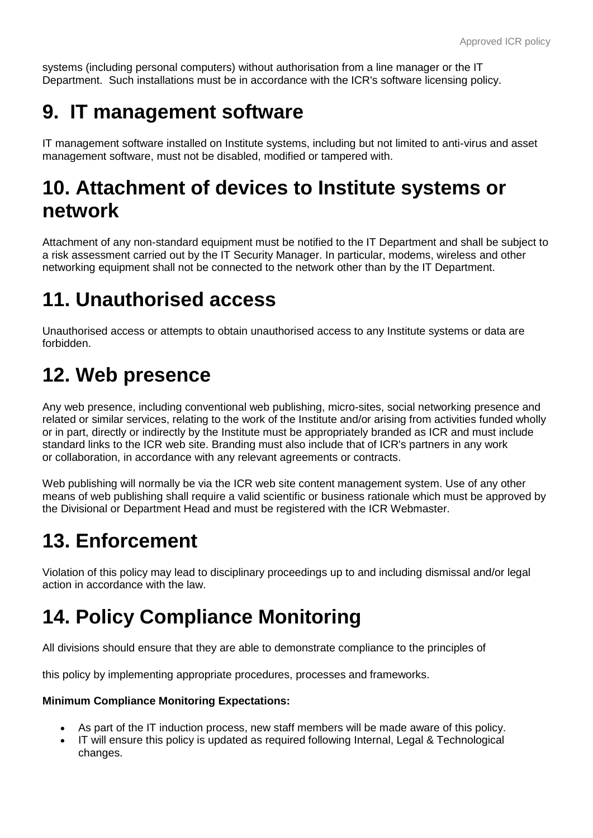systems (including personal computers) without authorisation from a line manager or the IT Department. Such installations must be in accordance with the ICR's software licensing policy.

### **9. IT management software**

IT management software installed on Institute systems, including but not limited to anti-virus and asset management software, must not be disabled, modified or tampered with.

### **10. Attachment of devices to Institute systems or network**

Attachment of any non-standard equipment must be notified to the IT Department and shall be subject to a risk assessment carried out by the IT Security Manager. In particular, modems, wireless and other networking equipment shall not be connected to the network other than by the IT Department.

# **11. Unauthorised access**

Unauthorised access or attempts to obtain unauthorised access to any Institute systems or data are forbidden.

### **12. Web presence**

Any web presence, including conventional web publishing, micro-sites, social networking presence and related or similar services, relating to the work of the Institute and/or arising from activities funded wholly or in part, directly or indirectly by the Institute must be appropriately branded as ICR and must include standard links to the ICR web site. Branding must also include that of ICR's partners in any work or collaboration, in accordance with any relevant agreements or contracts.

Web publishing will normally be via the ICR web site content management system. Use of any other means of web publishing shall require a valid scientific or business rationale which must be approved by the Divisional or Department Head and must be registered with the ICR Webmaster.

### **13. Enforcement**

Violation of this policy may lead to disciplinary proceedings up to and including dismissal and/or legal action in accordance with the law.

# **14. Policy Compliance Monitoring**

All divisions should ensure that they are able to demonstrate compliance to the principles of

this policy by implementing appropriate procedures, processes and frameworks.

#### **Minimum Compliance Monitoring Expectations:**

- As part of the IT induction process, new staff members will be made aware of this policy.
- IT will ensure this policy is updated as required following Internal, Legal & Technological changes.